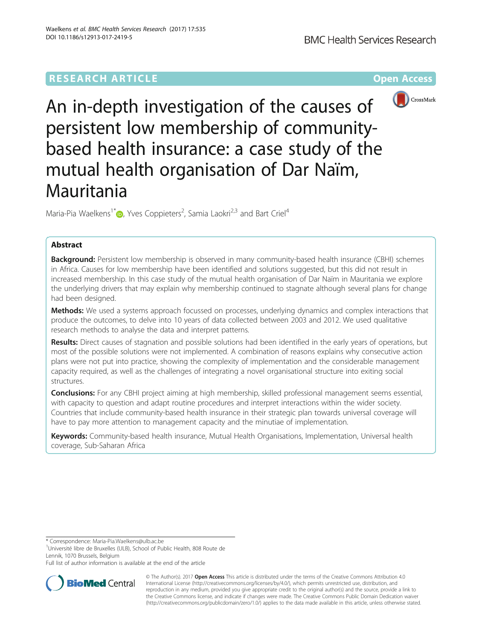# **RESEARCH ARTICLE Example 2014 12:30 The Community Community Community Community Community Community Community**



An in-depth investigation of the causes of persistent low membership of communitybased health insurance: a case study of the mutual health organisation of Dar Naïm, Mauritania

Maria-Pia Waelkens<sup>1[\\*](http://orcid.org/0000-0002-7083-9739)</sup>®, Yves Coppieters<sup>2</sup>, Samia Laokri<sup>2,3</sup> and Bart Criel<sup>4</sup>

# Abstract

Background: Persistent low membership is observed in many community-based health insurance (CBHI) schemes in Africa. Causes for low membership have been identified and solutions suggested, but this did not result in increased membership. In this case study of the mutual health organisation of Dar Naïm in Mauritania we explore the underlying drivers that may explain why membership continued to stagnate although several plans for change had been designed.

Methods: We used a systems approach focussed on processes, underlying dynamics and complex interactions that produce the outcomes, to delve into 10 years of data collected between 2003 and 2012. We used qualitative research methods to analyse the data and interpret patterns.

Results: Direct causes of stagnation and possible solutions had been identified in the early years of operations, but most of the possible solutions were not implemented. A combination of reasons explains why consecutive action plans were not put into practice, showing the complexity of implementation and the considerable management capacity required, as well as the challenges of integrating a novel organisational structure into exiting social structures.

**Conclusions:** For any CBHI project aiming at high membership, skilled professional management seems essential, with capacity to question and adapt routine procedures and interpret interactions within the wider society. Countries that include community-based health insurance in their strategic plan towards universal coverage will have to pay more attention to management capacity and the minutiae of implementation.

Keywords: Community-based health insurance, Mutual Health Organisations, Implementation, Universal health coverage, Sub-Saharan Africa

\* Correspondence: [Maria-Pia.Waelkens@ulb.ac.be](mailto:Maria-Pia.Waelkens@ulb.ac.be) <sup>1</sup>

<sup>1</sup>Université libre de Bruxelles (ULB), School of Public Health, 808 Route de Lennik, 1070 Brussels, Belgium

Full list of author information is available at the end of the article



© The Author(s). 2017 **Open Access** This article is distributed under the terms of the Creative Commons Attribution 4.0 International License [\(http://creativecommons.org/licenses/by/4.0/](http://creativecommons.org/licenses/by/4.0/)), which permits unrestricted use, distribution, and reproduction in any medium, provided you give appropriate credit to the original author(s) and the source, provide a link to the Creative Commons license, and indicate if changes were made. The Creative Commons Public Domain Dedication waiver [\(http://creativecommons.org/publicdomain/zero/1.0/](http://creativecommons.org/publicdomain/zero/1.0/)) applies to the data made available in this article, unless otherwise stated.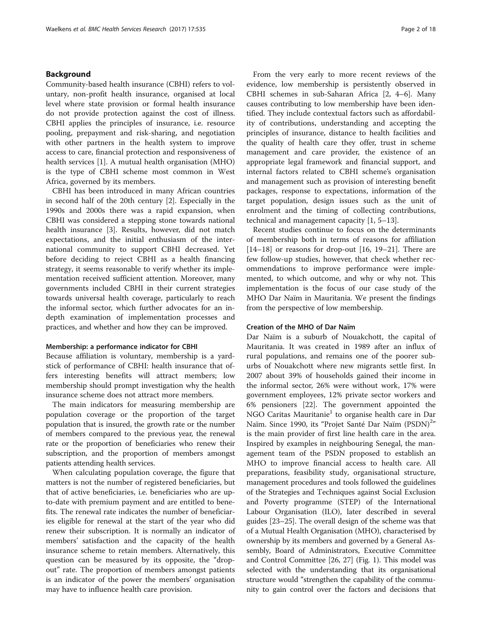# Background

Community-based health insurance (CBHI) refers to voluntary, non-profit health insurance, organised at local level where state provision or formal health insurance do not provide protection against the cost of illness. CBHI applies the principles of insurance, i.e. resource pooling, prepayment and risk-sharing, and negotiation with other partners in the health system to improve access to care, financial protection and responsiveness of health services [[1\]](#page-16-0). A mutual health organisation (MHO) is the type of CBHI scheme most common in West Africa, governed by its members.

CBHI has been introduced in many African countries in second half of the 20th century [\[2](#page-16-0)]. Especially in the 1990s and 2000s there was a rapid expansion, when CBHI was considered a stepping stone towards national health insurance [[3\]](#page-16-0). Results, however, did not match expectations, and the initial enthusiasm of the international community to support CBHI decreased. Yet before deciding to reject CBHI as a health financing strategy, it seems reasonable to verify whether its implementation received sufficient attention. Moreover, many governments included CBHI in their current strategies towards universal health coverage, particularly to reach the informal sector, which further advocates for an indepth examination of implementation processes and practices, and whether and how they can be improved.

### Membership: a performance indicator for CBHI

Because affiliation is voluntary, membership is a yardstick of performance of CBHI: health insurance that offers interesting benefits will attract members; low membership should prompt investigation why the health insurance scheme does not attract more members.

The main indicators for measuring membership are population coverage or the proportion of the target population that is insured, the growth rate or the number of members compared to the previous year, the renewal rate or the proportion of beneficiaries who renew their subscription, and the proportion of members amongst patients attending health services.

When calculating population coverage, the figure that matters is not the number of registered beneficiaries, but that of active beneficiaries, i.e. beneficiaries who are upto-date with premium payment and are entitled to benefits. The renewal rate indicates the number of beneficiaries eligible for renewal at the start of the year who did renew their subscription. It is normally an indicator of members' satisfaction and the capacity of the health insurance scheme to retain members. Alternatively, this question can be measured by its opposite, the "dropout" rate. The proportion of members amongst patients is an indicator of the power the members' organisation may have to influence health care provision.

From the very early to more recent reviews of the evidence, low membership is persistently observed in CBHI schemes in sub-Saharan Africa [\[2](#page-16-0), [4](#page-16-0)–[6](#page-16-0)]. Many causes contributing to low membership have been identified. They include contextual factors such as affordability of contributions, understanding and accepting the principles of insurance, distance to health facilities and the quality of health care they offer, trust in scheme management and care provider, the existence of an appropriate legal framework and financial support, and internal factors related to CBHI scheme's organisation and management such as provision of interesting benefit packages, response to expectations, information of the target population, design issues such as the unit of enrolment and the timing of collecting contributions, technical and management capacity [\[1, 5](#page-16-0)–[13\]](#page-16-0).

Recent studies continue to focus on the determinants of membership both in terms of reasons for affiliation  $[14–18]$  $[14–18]$  $[14–18]$  $[14–18]$  $[14–18]$  or reasons for drop-out  $[16, 19–21]$  $[16, 19–21]$  $[16, 19–21]$ . There are few follow-up studies, however, that check whether recommendations to improve performance were implemented, to which outcome, and why or why not. This implementation is the focus of our case study of the MHO Dar Naïm in Mauritania. We present the findings from the perspective of low membership.

# Creation of the MHO of Dar Naïm

Dar Naïm is a suburb of Nouakchott, the capital of Mauritania. It was created in 1989 after an influx of rural populations, and remains one of the poorer suburbs of Nouakchott where new migrants settle first. In 2007 about 39% of households gained their income in the informal sector, 26% were without work, 17% were government employees, 12% private sector workers and 6% pensioners [\[22\]](#page-16-0). The government appointed the NGO Caritas Mauritanie<sup>1</sup> to organise health care in Dar Naïm. Since 1990, its "Projet Santé Dar Naïm (PSDN)<sup>2</sup>" is the main provider of first line health care in the area. Inspired by examples in neighbouring Senegal, the management team of the PSDN proposed to establish an MHO to improve financial access to health care. All preparations, feasibility study, organisational structure, management procedures and tools followed the guidelines of the Strategies and Techniques against Social Exclusion and Poverty programme (STEP) of the International Labour Organisation (ILO), later described in several guides [\[23](#page-16-0)–[25](#page-16-0)]. The overall design of the scheme was that of a Mutual Health Organisation (MHO), characterised by ownership by its members and governed by a General Assembly, Board of Administrators, Executive Committee and Control Committee [[26, 27\]](#page-16-0) (Fig. [1\)](#page-2-0). This model was selected with the understanding that its organisational structure would "strengthen the capability of the community to gain control over the factors and decisions that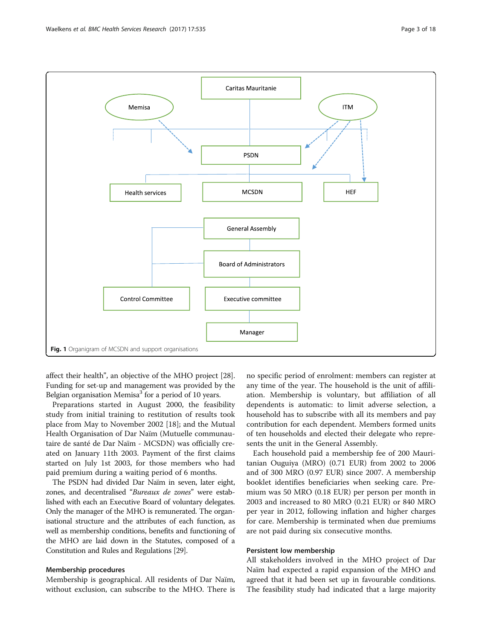<span id="page-2-0"></span>

affect their health", an objective of the MHO project [[28](#page-16-0)]. Funding for set-up and management was provided by the Belgian organisation Memisa<sup>3</sup> for a period of 10 years.

Preparations started in August 2000, the feasibility study from initial training to restitution of results took place from May to November 2002 [\[18](#page-16-0)]; and the Mutual Health Organisation of Dar Naïm (Mutuelle communautaire de santé de Dar Naïm - MCSDN) was officially created on January 11th 2003. Payment of the first claims started on July 1st 2003, for those members who had paid premium during a waiting period of 6 months.

The PSDN had divided Dar Naïm in seven, later eight, zones, and decentralised "Bureaux de zones" were established with each an Executive Board of voluntary delegates. Only the manager of the MHO is remunerated. The organisational structure and the attributes of each function, as well as membership conditions, benefits and functioning of the MHO are laid down in the Statutes, composed of a Constitution and Rules and Regulations [\[29\]](#page-16-0).

### Membership procedures

Membership is geographical. All residents of Dar Naïm, without exclusion, can subscribe to the MHO. There is

no specific period of enrolment: members can register at any time of the year. The household is the unit of affiliation. Membership is voluntary, but affiliation of all dependents is automatic: to limit adverse selection, a household has to subscribe with all its members and pay contribution for each dependent. Members formed units of ten households and elected their delegate who represents the unit in the General Assembly.

Each household paid a membership fee of 200 Mauritanian Ouguiya (MRO) (0.71 EUR) from 2002 to 2006 and of 300 MRO (0.97 EUR) since 2007. A membership booklet identifies beneficiaries when seeking care. Premium was 50 MRO (0.18 EUR) per person per month in 2003 and increased to 80 MRO (0.21 EUR) or 840 MRO per year in 2012, following inflation and higher charges for care. Membership is terminated when due premiums are not paid during six consecutive months.

# Persistent low membership

All stakeholders involved in the MHO project of Dar Naïm had expected a rapid expansion of the MHO and agreed that it had been set up in favourable conditions. The feasibility study had indicated that a large majority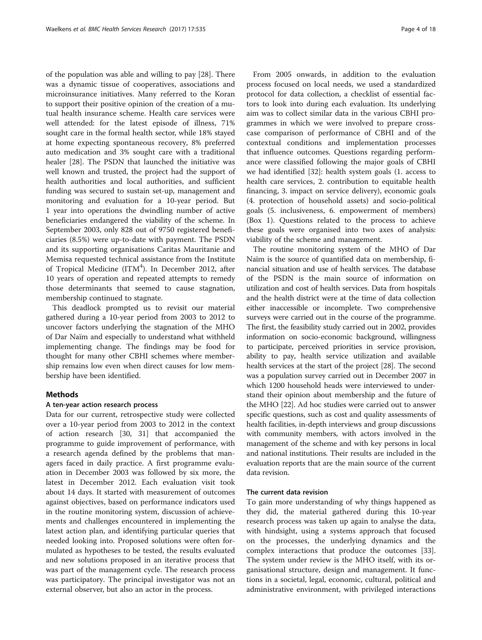of the population was able and willing to pay [\[28\]](#page-16-0). There was a dynamic tissue of cooperatives, associations and microinsurance initiatives. Many referred to the Koran to support their positive opinion of the creation of a mutual health insurance scheme. Health care services were well attended: for the latest episode of illness, 71% sought care in the formal health sector, while 18% stayed at home expecting spontaneous recovery, 8% preferred auto medication and 3% sought care with a traditional healer [[28\]](#page-16-0). The PSDN that launched the initiative was well known and trusted, the project had the support of health authorities and local authorities, and sufficient funding was secured to sustain set-up, management and monitoring and evaluation for a 10-year period. But 1 year into operations the dwindling number of active beneficiaries endangered the viability of the scheme. In September 2003, only 828 out of 9750 registered beneficiaries (8.5%) were up-to-date with payment. The PSDN and its supporting organisations Caritas Mauritanie and Memisa requested technical assistance from the Institute of Tropical Medicine (ITM<sup>4</sup>). In December 2012, after 10 years of operation and repeated attempts to remedy those determinants that seemed to cause stagnation, membership continued to stagnate.

This deadlock prompted us to revisit our material gathered during a 10-year period from 2003 to 2012 to uncover factors underlying the stagnation of the MHO of Dar Naïm and especially to understand what withheld implementing change. The findings may be food for thought for many other CBHI schemes where membership remains low even when direct causes for low membership have been identified.

# Methods

#### A ten-year action research process

Data for our current, retrospective study were collected over a 10-year period from 2003 to 2012 in the context of action research [[30, 31\]](#page-16-0) that accompanied the programme to guide improvement of performance, with a research agenda defined by the problems that managers faced in daily practice. A first programme evaluation in December 2003 was followed by six more, the latest in December 2012. Each evaluation visit took about 14 days. It started with measurement of outcomes against objectives, based on performance indicators used in the routine monitoring system, discussion of achievements and challenges encountered in implementing the latest action plan, and identifying particular queries that needed looking into. Proposed solutions were often formulated as hypotheses to be tested, the results evaluated and new solutions proposed in an iterative process that was part of the management cycle. The research process was participatory. The principal investigator was not an external observer, but also an actor in the process.

From 2005 onwards, in addition to the evaluation process focused on local needs, we used a standardized protocol for data collection, a checklist of essential factors to look into during each evaluation. Its underlying aim was to collect similar data in the various CBHI programmes in which we were involved to prepare crosscase comparison of performance of CBHI and of the contextual conditions and implementation processes that influence outcomes. Questions regarding performance were classified following the major goals of CBHI we had identified [[32\]](#page-16-0): health system goals (1. access to health care services, 2. contribution to equitable health financing, 3. impact on service delivery), economic goals (4. protection of household assets) and socio-political goals (5. inclusiveness, 6. empowerment of members) (Box 1). Questions related to the process to achieve these goals were organised into two axes of analysis: viability of the scheme and management.

The routine monitoring system of the MHO of Dar Naïm is the source of quantified data on membership, financial situation and use of health services. The database of the PSDN is the main source of information on utilization and cost of health services. Data from hospitals and the health district were at the time of data collection either inaccessible or incomplete. Two comprehensive surveys were carried out in the course of the programme. The first, the feasibility study carried out in 2002, provides information on socio-economic background, willingness to participate, perceived priorities in service provision, ability to pay, health service utilization and available health services at the start of the project [[28](#page-16-0)]. The second was a population survey carried out in December 2007 in which 1200 household heads were interviewed to understand their opinion about membership and the future of the MHO [\[22\]](#page-16-0). Ad hoc studies were carried out to answer specific questions, such as cost and quality assessments of health facilities, in-depth interviews and group discussions with community members, with actors involved in the management of the scheme and with key persons in local and national institutions. Their results are included in the evaluation reports that are the main source of the current data revision.

### The current data revision

To gain more understanding of why things happened as they did, the material gathered during this 10-year research process was taken up again to analyse the data, with hindsight, using a systems approach that focused on the processes, the underlying dynamics and the complex interactions that produce the outcomes [\[33](#page-16-0)]. The system under review is the MHO itself, with its organisational structure, design and management. It functions in a societal, legal, economic, cultural, political and administrative environment, with privileged interactions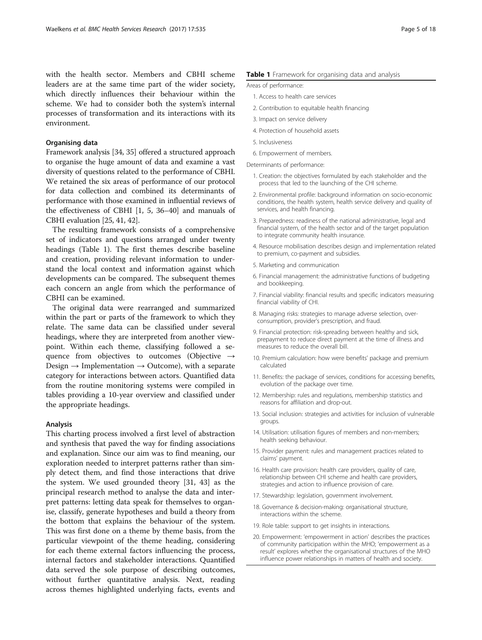### Organising data

Framework analysis [\[34](#page-16-0), [35\]](#page-16-0) offered a structured approach to organise the huge amount of data and examine a vast diversity of questions related to the performance of CBHI. We retained the six areas of performance of our protocol for data collection and combined its determinants of performance with those examined in influential reviews of the effectiveness of CBHI [[1](#page-16-0), [5, 36](#page-16-0)–[40](#page-16-0)] and manuals of CBHI evaluation [\[25, 41](#page-16-0), [42](#page-17-0)].

The resulting framework consists of a comprehensive set of indicators and questions arranged under twenty headings (Table 1). The first themes describe baseline and creation, providing relevant information to understand the local context and information against which developments can be compared. The subsequent themes each concern an angle from which the performance of CBHI can be examined.

The original data were rearranged and summarized within the part or parts of the framework to which they relate. The same data can be classified under several headings, where they are interpreted from another viewpoint. Within each theme, classifying followed a sequence from objectives to outcomes (Objective  $\rightarrow$ Design  $\rightarrow$  Implementation  $\rightarrow$  Outcome), with a separate category for interactions between actors. Quantified data from the routine monitoring systems were compiled in tables providing a 10-year overview and classified under the appropriate headings.

#### Analysis

This charting process involved a first level of abstraction and synthesis that paved the way for finding associations and explanation. Since our aim was to find meaning, our exploration needed to interpret patterns rather than simply detect them, and find those interactions that drive the system. We used grounded theory [[31,](#page-16-0) [43](#page-17-0)] as the principal research method to analyse the data and interpret patterns: letting data speak for themselves to organise, classify, generate hypotheses and build a theory from the bottom that explains the behaviour of the system. This was first done on a theme by theme basis, from the particular viewpoint of the theme heading, considering for each theme external factors influencing the process, internal factors and stakeholder interactions. Quantified data served the sole purpose of describing outcomes, without further quantitative analysis. Next, reading across themes highlighted underlying facts, events and

#### Table 1 Framework for organising data and analysis

Areas of performance:

- 1. Access to health care services
- 2. Contribution to equitable health financing
- 3. Impact on service delivery
- 4. Protection of household assets
- 5. Inclusiveness
- 6. Empowerment of members.

Determinants of performance:

- 1. Creation: the objectives formulated by each stakeholder and the process that led to the launching of the CHI scheme.
- 2. Environmental profile: background information on socio-economic conditions, the health system, health service delivery and quality of services, and health financing.
- 3. Preparedness: readiness of the national administrative, legal and financial system, of the health sector and of the target population to integrate community health insurance.
- 4. Resource mobilisation describes design and implementation related to premium, co-payment and subsidies.
- 5. Marketing and communication
- 6. Financial management: the administrative functions of budgeting and bookkeeping.
- 7. Financial viability: financial results and specific indicators measuring financial viability of CHI.
- 8. Managing risks: strategies to manage adverse selection, overconsumption, provider's prescription, and fraud.
- 9. Financial protection: risk-spreading between healthy and sick, prepayment to reduce direct payment at the time of illness and measures to reduce the overall bill.
- 10. Premium calculation: how were benefits' package and premium calculated
- 11. Benefits: the package of services, conditions for accessing benefits, evolution of the package over time.
- 12. Membership: rules and regulations, membership statistics and reasons for affiliation and drop-out.
- 13. Social inclusion: strategies and activities for inclusion of vulnerable groups.
- 14. Utilisation: utilisation figures of members and non-members; health seeking behaviour.
- 15. Provider payment: rules and management practices related to claims' payment.
- 16. Health care provision: health care providers, quality of care, relationship between CHI scheme and health care providers, strategies and action to influence provision of care.
- 17. Stewardship: legislation, government involvement.
- 18. Governance & decision-making: organisational structure, interactions within the scheme.
- 19. Role table: support to get insights in interactions.
- 20. Empowerment: 'empowerment in action' describes the practices of community participation within the MHO; 'empowerment as a result' explores whether the organisational structures of the MHO influence power relationships in matters of health and society.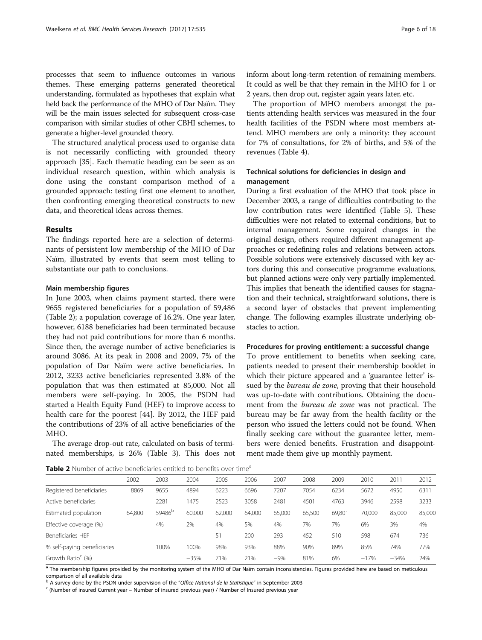processes that seem to influence outcomes in various themes. These emerging patterns generated theoretical understanding, formulated as hypotheses that explain what held back the performance of the MHO of Dar Naïm. They will be the main issues selected for subsequent cross-case comparison with similar studies of other CBHI schemes, to generate a higher-level grounded theory.

The structured analytical process used to organise data is not necessarily conflicting with grounded theory approach [\[35\]](#page-16-0). Each thematic heading can be seen as an individual research question, within which analysis is done using the constant comparison method of a grounded approach: testing first one element to another, then confronting emerging theoretical constructs to new data, and theoretical ideas across themes.

# Results

The findings reported here are a selection of determinants of persistent low membership of the MHO of Dar Naïm, illustrated by events that seem most telling to substantiate our path to conclusions.

#### Main membership figures

In June 2003, when claims payment started, there were 9655 registered beneficiaries for a population of 59,486 (Table 2); a population coverage of 16.2%. One year later, however, 6188 beneficiaries had been terminated because they had not paid contributions for more than 6 months. Since then, the average number of active beneficiaries is around 3086. At its peak in 2008 and 2009, 7% of the population of Dar Naïm were active beneficiaries. In 2012, 3233 active beneficiaries represented 3.8% of the population that was then estimated at 85,000. Not all members were self-paying. In 2005, the PSDN had started a Health Equity Fund (HEF) to improve access to health care for the poorest [[44\]](#page-17-0). By 2012, the HEF paid the contributions of 23% of all active beneficiaries of the MHO.

The average drop-out rate, calculated on basis of terminated memberships, is 26% (Table [3\)](#page-6-0). This does not inform about long-term retention of remaining members. It could as well be that they remain in the MHO for 1 or 2 years, then drop out, register again years later, etc.

The proportion of MHO members amongst the patients attending health services was measured in the four health facilities of the PSDN where most members attend. MHO members are only a minority: they account for 7% of consultations, for 2% of births, and 5% of the revenues (Table [4\)](#page-6-0).

# Technical solutions for deficiencies in design and management

During a first evaluation of the MHO that took place in December 2003, a range of difficulties contributing to the low contribution rates were identified (Table [5](#page-7-0)). These difficulties were not related to external conditions, but to internal management. Some required changes in the original design, others required different management approaches or redefining roles and relations between actors. Possible solutions were extensively discussed with key actors during this and consecutive programme evaluations, but planned actions were only very partially implemented. This implies that beneath the identified causes for stagnation and their technical, straightforward solutions, there is a second layer of obstacles that prevent implementing change. The following examples illustrate underlying obstacles to action.

#### Procedures for proving entitlement: a successful change

To prove entitlement to benefits when seeking care, patients needed to present their membership booklet in which their picture appeared and a 'guarantee letter' issued by the *bureau de zone*, proving that their household was up-to-date with contributions. Obtaining the document from the *bureau de zone* was not practical. The bureau may be far away from the health facility or the person who issued the letters could not be found. When finally seeking care without the guarantee letter, members were denied benefits. Frustration and disappointment made them give up monthly payment.

| <b>Table 2</b> Number of active beneficiaries entitled to benefits over time <sup>a</sup> |  |
|-------------------------------------------------------------------------------------------|--|
|-------------------------------------------------------------------------------------------|--|

|                               | 2002   | 2003               | 2004   | 2005   | 2006   | 2007   | 2008   | 2009   | 2010   | 2011   | 2012   |
|-------------------------------|--------|--------------------|--------|--------|--------|--------|--------|--------|--------|--------|--------|
| Registered beneficiaries      | 8869   | 9655               | 4894   | 6223   | 6696   | 7207   | 7054   | 6234   | 5672   | 4950   | 6311   |
| Active beneficiaries          |        | 2281               | 475    | 2523   | 3058   | 2481   | 4501   | 4763   | 3946   | 2598   | 3233   |
| Estimated population          | 64,800 | 59486 <sup>b</sup> | 60,000 | 62,000 | 64,000 | 65,000 | 65,500 | 69,801 | 70,000 | 85,000 | 85,000 |
| Effective coverage (%)        |        | 4%                 | 2%     | 4%     | 5%     | 4%     | 7%     | 7%     | 6%     | 3%     | 4%     |
| Beneficiaries HEF             |        |                    |        | 51     | 200    | 293    | 452    | 510    | 598    | 674    | 736    |
| % self-paying beneficiaries   |        | 100%               | 100%   | 98%    | 93%    | 88%    | 90%    | 89%    | 85%    | 74%    | 77%    |
| Growth Ratio <sup>c</sup> (%) |        |                    | $-35%$ | 71%    | 21%    | $-9%$  | 81%    | 6%     | $-17%$ | $-34%$ | 24%    |

a The membership figures provided by the monitoring system of the MHO of Dar Naïm contain inconsistencies. Figures provided here are based on meticulous comparison of all available data<br> $\frac{1}{2}$  a survey done by the PSDN under supervision of the "Office National de la Statistique" in September 2003

 $\epsilon$  (Number of insured Current year – Number of insured previous year) / Number of Insured previous year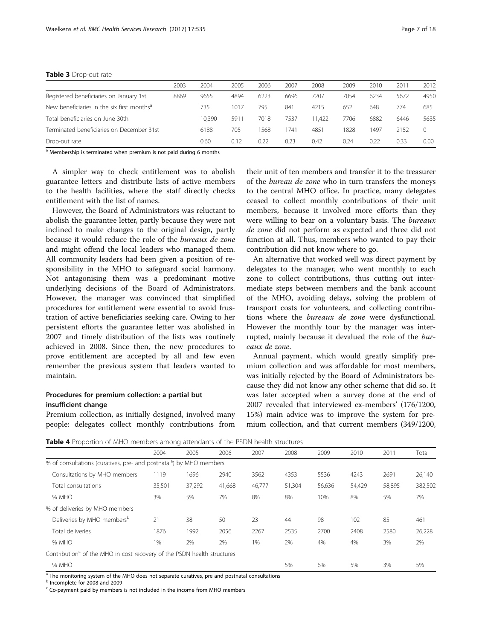## <span id="page-6-0"></span>Table 3 Drop-out rate

|                                                        | 2003 | 2004   | 2005 | 2006 | 2007 | 2008  | 2009 | 2010 | 2011 | 2012     |
|--------------------------------------------------------|------|--------|------|------|------|-------|------|------|------|----------|
| Registered beneficiaries on January 1st                | 8869 | 9655   | 4894 | 6223 | 6696 | 7207  | 7054 | 6234 | 5672 | 4950     |
| New beneficiaries in the six first months <sup>a</sup> |      | 735    | 1017 | 795  | 841  | 4215  | 652  | 648  | 774  | 685      |
| Total beneficiaries on June 30th                       |      | 10.390 | 5911 | 7018 | 7537 | 1.422 | 7706 | 6882 | 6446 | 5635     |
| Terminated beneficiaries on December 31st              |      | 6188   | 705  | 1568 | 741  | 4851  | 1828 | 1497 | 2152 | $\Omega$ |
| Drop-out rate                                          |      | 0.60   | 0.12 | 0.22 | 0.23 | 0.42  | 0.24 | 0.22 | 0.33 | 0.00     |
|                                                        |      |        |      |      |      |       |      |      |      |          |

<sup>a</sup> Membership is terminated when premium is not paid during 6 months

A simpler way to check entitlement was to abolish guarantee letters and distribute lists of active members to the health facilities, where the staff directly checks entitlement with the list of names.

However, the Board of Administrators was reluctant to abolish the guarantee letter, partly because they were not inclined to make changes to the original design, partly because it would reduce the role of the bureaux de zone and might offend the local leaders who managed them. All community leaders had been given a position of responsibility in the MHO to safeguard social harmony. Not antagonising them was a predominant motive underlying decisions of the Board of Administrators. However, the manager was convinced that simplified procedures for entitlement were essential to avoid frustration of active beneficiaries seeking care. Owing to her persistent efforts the guarantee letter was abolished in 2007 and timely distribution of the lists was routinely achieved in 2008. Since then, the new procedures to prove entitlement are accepted by all and few even remember the previous system that leaders wanted to maintain.

# Procedures for premium collection: a partial but insufficient change

Premium collection, as initially designed, involved many people: delegates collect monthly contributions from

their unit of ten members and transfer it to the treasurer of the bureau de zone who in turn transfers the moneys to the central MHO office. In practice, many delegates ceased to collect monthly contributions of their unit members, because it involved more efforts than they were willing to bear on a voluntary basis. The bureaux de zone did not perform as expected and three did not function at all. Thus, members who wanted to pay their contribution did not know where to go.

An alternative that worked well was direct payment by delegates to the manager, who went monthly to each zone to collect contributions, thus cutting out intermediate steps between members and the bank account of the MHO, avoiding delays, solving the problem of transport costs for volunteers, and collecting contributions where the *bureaux de zone* were dysfunctional. However the monthly tour by the manager was interrupted, mainly because it devalued the role of the *bur*eaux de zone.

Annual payment, which would greatly simplify premium collection and was affordable for most members, was initially rejected by the Board of Administrators because they did not know any other scheme that did so. It was later accepted when a survey done at the end of 2007 revealed that interviewed ex-members' (176/1200, 15%) main advice was to improve the system for premium collection, and that current members (349/1200,

Table 4 Proportion of MHO members among attendants of the PSDN health structures

|                                                                                     | 2004   | 2005   | 2006   | 2007   | 2008   | 2009   | 2010   | 2011   | Total   |
|-------------------------------------------------------------------------------------|--------|--------|--------|--------|--------|--------|--------|--------|---------|
| % of consultations (curatives, pre- and postnatal <sup>a</sup> ) by MHO members     |        |        |        |        |        |        |        |        |         |
| Consultations by MHO members                                                        | 1119   | 1696   | 2940   | 3562   | 4353   | 5536   | 4243   | 2691   | 26,140  |
| Total consultations                                                                 | 35,501 | 37,292 | 41,668 | 46,777 | 51.304 | 56,636 | 54,429 | 58,895 | 382,502 |
| % MHO                                                                               | 3%     | 5%     | 7%     | 8%     | 8%     | 10%    | 8%     | 5%     | 7%      |
| % of deliveries by MHO members                                                      |        |        |        |        |        |        |        |        |         |
| Deliveries by MHO members <sup>b</sup>                                              | 21     | 38     | 50     | 23     | 44     | 98     | 102    | 85     | 461     |
| Total deliveries                                                                    | 1876   | 1992   | 2056   | 2267   | 2535   | 2700   | 2408   | 2580   | 26,228  |
| % MHO                                                                               | 1%     | 2%     | 2%     | 1%     | 2%     | 4%     | 4%     | 3%     | 2%      |
| Contribution <sup>c</sup> of the MHO in cost recovery of the PSDN health structures |        |        |        |        |        |        |        |        |         |
| % MHO                                                                               |        |        |        |        | 5%     | 6%     | 5%     | 3%     | 5%      |

<sup>a</sup> The monitoring system of the MHO does not separate curatives, pre and postnatal consultations

**b** Incomplete for 2008 and 2009

 $\epsilon$  Co-payment paid by members is not included in the income from MHO members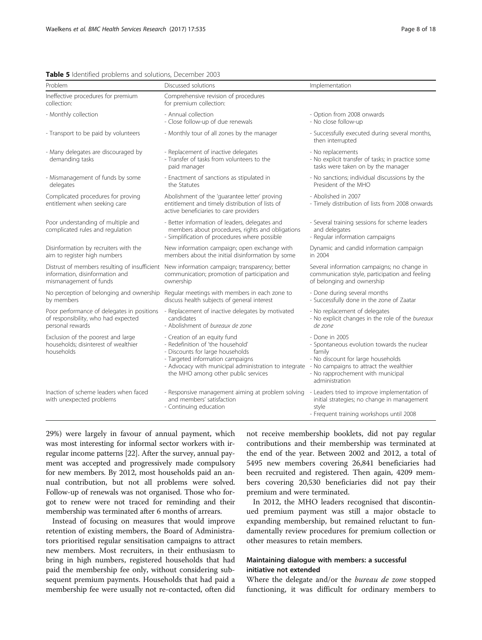| Problem                                                                                               | Discussed solutions                                                                                                                                                                                                                       | Implementation                                                                                                                                                                                                  |
|-------------------------------------------------------------------------------------------------------|-------------------------------------------------------------------------------------------------------------------------------------------------------------------------------------------------------------------------------------------|-----------------------------------------------------------------------------------------------------------------------------------------------------------------------------------------------------------------|
| Ineffective procedures for premium<br>collection:                                                     | Comprehensive revision of procedures<br>for premium collection:                                                                                                                                                                           |                                                                                                                                                                                                                 |
| - Monthly collection                                                                                  | - Annual collection<br>- Close follow-up of due renewals                                                                                                                                                                                  | - Option from 2008 onwards<br>- No close follow-up                                                                                                                                                              |
| - Transport to be paid by volunteers                                                                  | - Monthly tour of all zones by the manager                                                                                                                                                                                                | - Successfully executed during several months,<br>then interrupted                                                                                                                                              |
| - Many delegates are discouraged by<br>demanding tasks                                                | - Replacement of inactive delegates<br>- Transfer of tasks from volunteers to the<br>paid manager                                                                                                                                         | - No replacements<br>- No explicit transfer of tasks; in practice some<br>tasks were taken on by the manager                                                                                                    |
| - Mismanagement of funds by some<br>delegates                                                         | - Enactment of sanctions as stipulated in<br>the Statutes                                                                                                                                                                                 | - No sanctions; individual discussions by the<br>President of the MHO                                                                                                                                           |
| Complicated procedures for proving<br>entitlement when seeking care                                   | Abolishment of the 'guarantee letter' proving<br>entitlement and timely distribution of lists of<br>active beneficiaries to care providers                                                                                                | - Abolished in 2007<br>- Timely distribution of lists from 2008 onwards                                                                                                                                         |
| Poor understanding of multiple and<br>complicated rules and regulation                                | - Better information of leaders, delegates and<br>members about procedures, rights and obligations<br>- Simplification of procedures where possible                                                                                       | - Several training sessions for scheme leaders<br>and delegates<br>- Regular information campaigns                                                                                                              |
| Disinformation by recruiters with the<br>aim to register high numbers                                 | New information campaign; open exchange with<br>members about the initial disinformation by some                                                                                                                                          | Dynamic and candid information campaign<br>in 2004                                                                                                                                                              |
| information, disinformation and<br>mismanagement of funds                                             | Distrust of members resulting of insufficient New information campaign; transparency; better<br>communication; promotion of participation and<br>ownership                                                                                | Several information campaigns; no change in<br>communication style, participation and feeling<br>of belonging and ownership                                                                                     |
| No perception of belonging and ownership<br>by members                                                | Regular meetings with members in each zone to<br>discuss health subjects of general interest                                                                                                                                              | - Done during several months<br>- Successfully done in the zone of Zaatar                                                                                                                                       |
| Poor performance of delegates in positions<br>of responsibility, who had expected<br>personal rewards | - Replacement of inactive delegates by motivated<br>candidates<br>- Abolishment of bureaux de zone                                                                                                                                        | - No replacement of delegates<br>- No explicit changes in the role of the bureaux<br>de zone                                                                                                                    |
| Exclusion of the poorest and large<br>households; disinterest of wealthier<br>households              | - Creation of an equity fund<br>- Redefinition of 'the household'<br>- Discounts for large households<br>- Targeted information campaigns<br>- Advocacy with municipal administration to integrate<br>the MHO among other public services | - Done in 2005<br>- Spontaneous evolution towards the nuclear<br>family<br>- No discount for large households<br>- No campaigns to attract the wealthier<br>- No rapprochement with municipal<br>administration |
| Inaction of scheme leaders when faced<br>with unexpected problems                                     | - Responsive management aiming at problem solving<br>and members' satisfaction<br>- Continuing education                                                                                                                                  | - Leaders tried to improve implementation of<br>initial strategies; no change in management<br>style<br>- Frequent training workshops until 2008                                                                |

<span id="page-7-0"></span>Table 5 Identified problems and solutions, December 2003

29%) were largely in favour of annual payment, which was most interesting for informal sector workers with irregular income patterns [[22](#page-16-0)]. After the survey, annual payment was accepted and progressively made compulsory for new members. By 2012, most households paid an annual contribution, but not all problems were solved. Follow-up of renewals was not organised. Those who forgot to renew were not traced for reminding and their membership was terminated after 6 months of arrears.

Instead of focusing on measures that would improve retention of existing members, the Board of Administrators prioritised regular sensitisation campaigns to attract new members. Most recruiters, in their enthusiasm to bring in high numbers, registered households that had paid the membership fee only, without considering subsequent premium payments. Households that had paid a membership fee were usually not re-contacted, often did

not receive membership booklets, did not pay regular contributions and their membership was terminated at the end of the year. Between 2002 and 2012, a total of 5495 new members covering 26,841 beneficiaries had been recruited and registered. Then again, 4209 members covering 20,530 beneficiaries did not pay their premium and were terminated.

In 2012, the MHO leaders recognised that discontinued premium payment was still a major obstacle to expanding membership, but remained reluctant to fundamentally review procedures for premium collection or other measures to retain members.

# Maintaining dialogue with members: a successful initiative not extended

Where the delegate and/or the *bureau de zone* stopped functioning, it was difficult for ordinary members to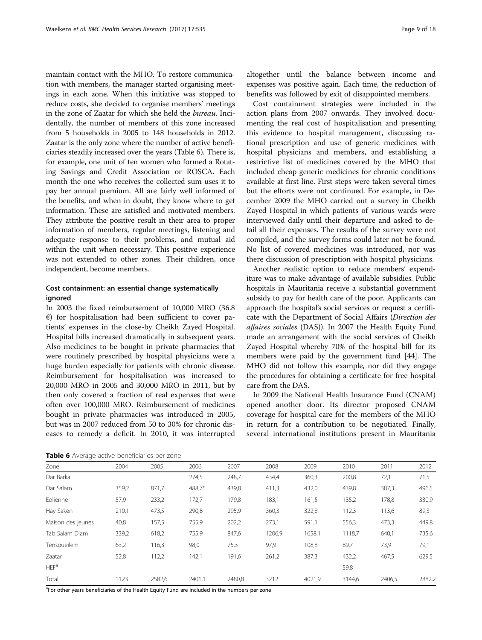<span id="page-8-0"></span>maintain contact with the MHO. To restore communication with members, the manager started organising meetings in each zone. When this initiative was stopped to reduce costs, she decided to organise members' meetings in the zone of Zaatar for which she held the bureau. Incidentally, the number of members of this zone increased from 5 households in 2005 to 148 households in 2012. Zaatar is the only zone where the number of active beneficiaries steadily increased over the years (Table 6). There is, for example, one unit of ten women who formed a Rotating Savings and Credit Association or ROSCA. Each month the one who receives the collected sum uses it to pay her annual premium. All are fairly well informed of the benefits, and when in doubt, they know where to get information. These are satisfied and motivated members. They attribute the positive result in their area to proper information of members, regular meetings, listening and adequate response to their problems, and mutual aid within the unit when necessary. This positive experience was not extended to other zones. Their children, once independent, become members.

# Cost containment: an essential change systematically ignored

In 2003 the fixed reimbursement of 10,000 MRO (36.8  $\epsilon$ ) for hospitalisation had been sufficient to cover patients' expenses in the close-by Cheikh Zayed Hospital. Hospital bills increased dramatically in subsequent years. Also medicines to be bought in private pharmacies that were routinely prescribed by hospital physicians were a huge burden especially for patients with chronic disease. Reimbursement for hospitalisation was increased to 20,000 MRO in 2005 and 30,000 MRO in 2011, but by then only covered a fraction of real expenses that were often over 100,000 MRO. Reimbursement of medicines bought in private pharmacies was introduced in 2005, but was in 2007 reduced from 50 to 30% for chronic diseases to remedy a deficit. In 2010, it was interrupted altogether until the balance between income and expenses was positive again. Each time, the reduction of benefits was followed by exit of disappointed members.

Cost containment strategies were included in the action plans from 2007 onwards. They involved documenting the real cost of hospitalisation and presenting this evidence to hospital management, discussing rational prescription and use of generic medicines with hospital physicians and members, and establishing a restrictive list of medicines covered by the MHO that included cheap generic medicines for chronic conditions available at first line. First steps were taken several times but the efforts were not continued. For example, in December 2009 the MHO carried out a survey in Cheikh Zayed Hospital in which patients of various wards were interviewed daily until their departure and asked to detail all their expenses. The results of the survey were not compiled, and the survey forms could later not be found. No list of covered medicines was introduced, nor was there discussion of prescription with hospital physicians.

Another realistic option to reduce members' expenditure was to make advantage of available subsidies. Public hospitals in Mauritania receive a substantial government subsidy to pay for health care of the poor. Applicants can approach the hospital's social services or request a certificate with the Department of Social Affairs (Direction des affaires sociales (DAS)). In 2007 the Health Equity Fund made an arrangement with the social services of Cheikh Zayed Hospital whereby 70% of the hospital bill for its members were paid by the government fund [\[44\]](#page-17-0). The MHO did not follow this example, nor did they engage the procedures for obtaining a certificate for free hospital care from the DAS.

In 2009 the National Health Insurance Fund (CNAM) opened another door. Its director proposed CNAM coverage for hospital care for the members of the MHO in return for a contribution to be negotiated. Finally, several international institutions present in Mauritania

Table 6 Average active beneficiaries per zone

| Zone              | 2004  | 2005   | 2006   | 2007   | 2008   | 2009   | 2010   | 2011   | 2012   |
|-------------------|-------|--------|--------|--------|--------|--------|--------|--------|--------|
| Dar Barka         |       |        | 274,5  | 248,7  | 434,4  | 360,3  | 200,8  | 72,1   | 71,5   |
| Dar Salam         | 359,2 | 871,7  | 488,75 | 439,8  | 411,3  | 432,0  | 439,8  | 387,3  | 496,5  |
| Eolienne          | 57,9  | 233,2  | 172,7  | 179,8  | 183,1  | 161,5  | 135,2  | 178,8  | 330,9  |
| Hay Saken         | 210,1 | 473,5  | 290,8  | 295,9  | 360,3  | 322,8  | 112,3  | 113,6  | 89,3   |
| Maison des jeunes | 40,8  | 157,5  | 755,9  | 202,2  | 273,1  | 591,1  | 556,3  | 473,3  | 449,8  |
| Tab Salam Diam    | 339,2 | 618,2  | 755,9  | 847,6  | 1206,9 | 1658,1 | 1118,7 | 640,1  | 735,6  |
| Tensoueilem       | 63,2  | 116,3  | 98,0   | 75,3   | 97,9   | 108,8  | 89,7   | 73,9   | 79,1   |
| Zaatar            | 52,8  | 112,2  | 142,1  | 191,6  | 261,2  | 387,3  | 432,2  | 467,5  | 629,5  |
| HEF <sup>a</sup>  |       |        |        |        |        |        | 59,8   |        |        |
| Total             | 1123  | 2582,6 | 2401,1 | 2480,8 | 3212   | 4021,9 | 3144,6 | 2406.5 | 2882,2 |
|                   |       |        |        |        |        |        |        |        |        |

<sup>a</sup>For other years beneficiaries of the Health Equity Fund are included in the numbers per zone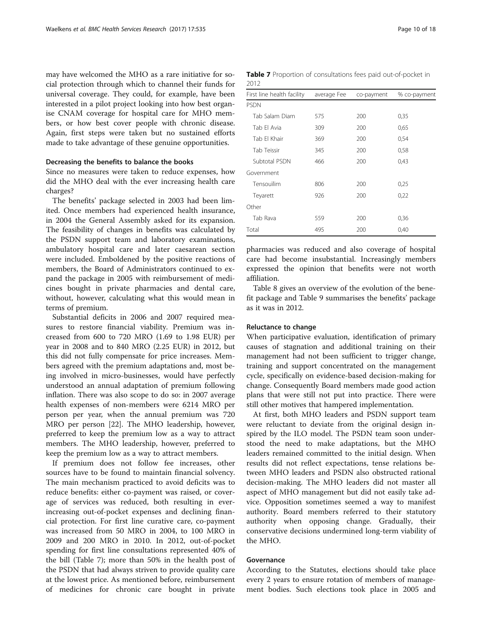may have welcomed the MHO as a rare initiative for social protection through which to channel their funds for universal coverage. They could, for example, have been interested in a pilot project looking into how best organise CNAM coverage for hospital care for MHO members, or how best cover people with chronic disease. Again, first steps were taken but no sustained efforts made to take advantage of these genuine opportunities.

# Decreasing the benefits to balance the books

Since no measures were taken to reduce expenses, how did the MHO deal with the ever increasing health care charges?

The benefits' package selected in 2003 had been limited. Once members had experienced health insurance, in 2004 the General Assembly asked for its expansion. The feasibility of changes in benefits was calculated by the PSDN support team and laboratory examinations, ambulatory hospital care and later caesarean section were included. Emboldened by the positive reactions of members, the Board of Administrators continued to expand the package in 2005 with reimbursement of medicines bought in private pharmacies and dental care, without, however, calculating what this would mean in terms of premium.

Substantial deficits in 2006 and 2007 required measures to restore financial viability. Premium was increased from 600 to 720 MRO (1.69 to 1.98 EUR) per year in 2008 and to 840 MRO (2.25 EUR) in 2012, but this did not fully compensate for price increases. Members agreed with the premium adaptations and, most being involved in micro-businesses, would have perfectly understood an annual adaptation of premium following inflation. There was also scope to do so: in 2007 average health expenses of non-members were 6214 MRO per person per year, when the annual premium was 720 MRO per person [\[22](#page-16-0)]. The MHO leadership, however, preferred to keep the premium low as a way to attract members. The MHO leadership, however, preferred to keep the premium low as a way to attract members.

If premium does not follow fee increases, other sources have to be found to maintain financial solvency. The main mechanism practiced to avoid deficits was to reduce benefits: either co-payment was raised, or coverage of services was reduced, both resulting in everincreasing out-of-pocket expenses and declining financial protection. For first line curative care, co-payment was increased from 50 MRO in 2004, to 100 MRO in 2009 and 200 MRO in 2010. In 2012, out-of-pocket spending for first line consultations represented 40% of the bill (Table 7); more than 50% in the health post of the PSDN that had always striven to provide quality care at the lowest price. As mentioned before, reimbursement of medicines for chronic care bought in private

|      |  | <b>Table 7</b> Proportion of consultations fees paid out-of-pocket in |  |  |  |
|------|--|-----------------------------------------------------------------------|--|--|--|
| 2012 |  |                                                                       |  |  |  |

| First line health facility | average Fee | co-payment | % co-payment |
|----------------------------|-------------|------------|--------------|
| <b>PSDN</b>                |             |            |              |
| Tab Salam Diam             | 575         | 200        | 0,35         |
| Tab El Avia                | 309         | 200        | 0,65         |
| Tab Fl Khair               | 369         | 200        | 0,54         |
| Tab Teissir                | 345         | 200        | 0,58         |
| Subtotal PSDN              | 466         | 200        | 0,43         |
| Government                 |             |            |              |
| Tensouïlim                 | 806         | 200        | 0,25         |
| Teyarett                   | 926         | 200        | 0,22         |
| Other                      |             |            |              |
| Tab Rava                   | 559         | 200        | 0,36         |
| Total                      | 495         | 200        | 0,40         |

pharmacies was reduced and also coverage of hospital care had become insubstantial. Increasingly members expressed the opinion that benefits were not worth affiliation.

Table [8](#page-10-0) gives an overview of the evolution of the benefit package and Table [9](#page-11-0) summarises the benefits' package as it was in 2012.

### Reluctance to change

When participative evaluation, identification of primary causes of stagnation and additional training on their management had not been sufficient to trigger change, training and support concentrated on the management cycle, specifically on evidence-based decision-making for change. Consequently Board members made good action plans that were still not put into practice. There were still other motives that hampered implementation.

At first, both MHO leaders and PSDN support team were reluctant to deviate from the original design inspired by the ILO model. The PSDN team soon understood the need to make adaptations, but the MHO leaders remained committed to the initial design. When results did not reflect expectations, tense relations between MHO leaders and PSDN also obstructed rational decision-making. The MHO leaders did not master all aspect of MHO management but did not easily take advice. Opposition sometimes seemed a way to manifest authority. Board members referred to their statutory authority when opposing change. Gradually, their conservative decisions undermined long-term viability of the MHO.

# Governance

According to the Statutes, elections should take place every 2 years to ensure rotation of members of management bodies. Such elections took place in 2005 and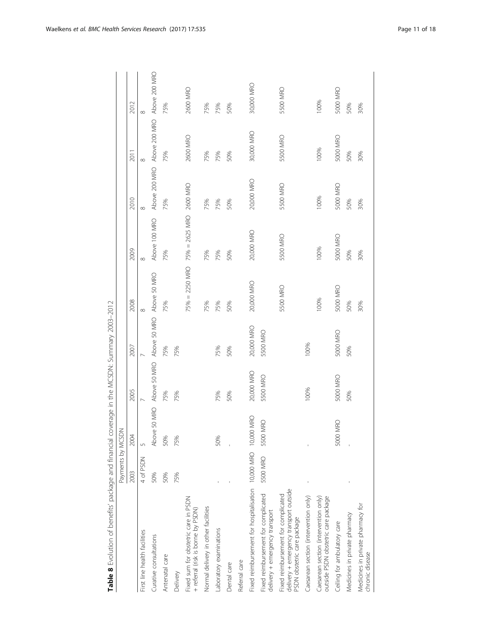<span id="page-10-0"></span>

|                                                                                                              | Payments by MCSDN |                    |              |                |                |                  |               |               |               |
|--------------------------------------------------------------------------------------------------------------|-------------------|--------------------|--------------|----------------|----------------|------------------|---------------|---------------|---------------|
|                                                                                                              | 2003              | 2004               | 2005         | 2007           | 2008           | 2009             | 2010          | 2011          | 2012          |
| First line health facilities                                                                                 | 4 of PSDN         | 5                  | $\sim$       | $\overline{a}$ | $\infty$       | $\infty$         | $\infty$      | $\infty$      | $\infty$      |
| Curative consultations                                                                                       | 50%               | Above 50 MRO       | Above 50 MRO | Above 50 MRO   | Above 50 MRO   | Above 100 MRO    | Above 200 MRO | Above 200 MRO | Above 200 MRO |
| Antenatal care                                                                                               | 50%               | 50%                | 75%          | 75%            | 75%            | 75%              | 75%           | 75%           | 75%           |
| Delivery                                                                                                     | 75%               | 75%                | 75%          | 75%            |                |                  |               |               |               |
| Fixed sum for obstetric care in PSDN<br>+ referral (risk is borne by PSDN)                                   |                   |                    |              |                | 75% = 2250 MRO | $75% = 2625$ MRO | 2600 MRO      | 2600 MRO      | 2600 MRO      |
| Normal delivery in other facilities                                                                          |                   |                    |              |                | 75%            | 75%              | 75%           | 75%           | 75%           |
| Laboratory examinations                                                                                      |                   | 50%                | 75%          | 75%            | 75%            | 75%              | 75%           | 75%           | 75%           |
| Dental care                                                                                                  |                   |                    | 50%          | 50%            | 50%            | 50%              | 50%           | 50%           | 50%           |
| Referral care                                                                                                |                   |                    |              |                |                |                  |               |               |               |
| Fixed reimbursement for hospitalisation 10,000 MRO 10,000 MRO                                                |                   |                    | 20,000 MRO   | 20,000 MRO     | 20,000 MRO     | 20,000 MRO       | 20,000 MRO    | 30,000 MRO    | 30,000 MRO    |
| Fixed reimbursement for complicated<br>delivery + emergency transport                                        | 5500 MRO          | <b>MRO</b><br>5500 | 5500 MRO     | 5500 MRO       |                |                  |               |               |               |
| delivery + emergency transport outside<br>Fixed reimbursement for complicated<br>PSDN obstetric care package |                   |                    |              |                | 5500 MRO       | 5500 MRO         | 5500 MRO      | 5500 MRO      | 5500 MRO      |
| Caesarean section (intervention only)                                                                        |                   |                    | 100%         | 100%           |                |                  |               |               |               |
| Caesarean section (intervention only)<br>outside PSDN obstetric care package                                 |                   |                    |              |                | 100%           | 100%             | 100%          | 100%          | 100%          |
| Ceiling for ambulatory care                                                                                  |                   | <b>MRO</b><br>5000 | 5000 MRO     | 5000 MRO       | 5000 MRO       | 5000 MRO         | 5000 MRO      | 5000 MRO      | 5000 MRO      |
| Medicines in private pharmacy                                                                                |                   |                    | 50%          | 50%            | 50%            | 50%              | 50%           | 50%           | 50%           |
| Medicines in private pharmacy for<br>chronic disease                                                         |                   |                    |              |                | 30%            | 30%              | 30%           | 30%           | 30%           |

Table 8 Evolution of benefits' package and financial coverage in the MCSDN: Summary 2003-2012 Table 8 Evolution of benefits' package and financial coverage in the MCSDN: Summary 2003–2012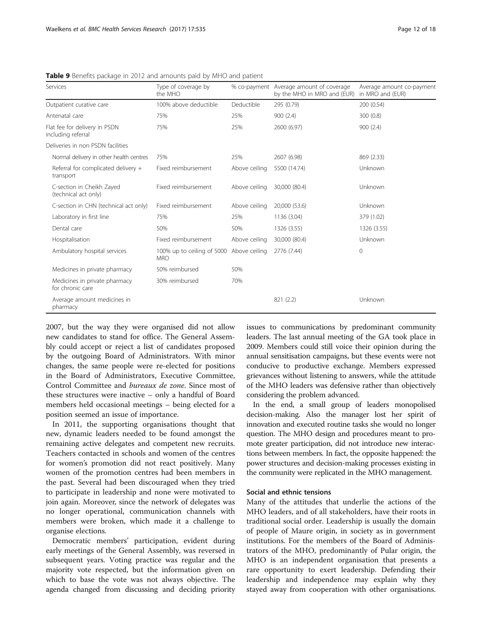| Services                                            | Type of coverage by<br>the MHO           |               | % co-payment Average amount of coverage<br>by the MHO in MRO and (EUR) | Average amount co-payment<br>in MRO and (EUR) |
|-----------------------------------------------------|------------------------------------------|---------------|------------------------------------------------------------------------|-----------------------------------------------|
| Outpatient curative care                            | 100% above deductible                    | Deductible    | 295 (0.79)                                                             | 200 (0.54)                                    |
| Antenatal care                                      | 75%                                      | 25%           | 900(2.4)                                                               | 300(0.8)                                      |
| Flat fee for delivery in PSDN<br>including referral | 75%                                      | 25%           | 2600 (6.97)                                                            | 900(2.4)                                      |
| Deliveries in non PSDN facilities                   |                                          |               |                                                                        |                                               |
| Normal delivery in other health centres             | 75%                                      | 25%           | 2607 (6.98)                                                            | 869 (2.33)                                    |
| Referral for complicated delivery +<br>transport    | Fixed reimbursement                      | Above ceiling | 5500 (14.74)                                                           | Unknown                                       |
| C-section in Cheikh Zayed<br>(technical act only)   | Fixed reimbursement                      | Above ceiling | 30,000 (80.4)                                                          | Unknown                                       |
| C-section in CHN (technical act only)               | Fixed reimbursement                      | Above ceiling | 20,000 (53.6)                                                          | Unknown                                       |
| Laboratory in first line                            | 75%                                      | 25%           | 1136 (3.04)                                                            | 379 (1.02)                                    |
| Dental care                                         | 50%                                      | 50%           | 1326 (3.55)                                                            | 1326 (3.55)                                   |
| Hospitalisation                                     | Fixed reimbursement                      | Above ceiling | 30,000 (80.4)                                                          | Unknown                                       |
| Ambulatory hospital services                        | 100% up to ceiling of 5000<br><b>MRO</b> | Above ceiling | 2776 (7.44)                                                            | 0                                             |
| Medicines in private pharmacy                       | 50% reimbursed                           | 50%           |                                                                        |                                               |
| Medicines in private pharmacy<br>for chronic care   | 30% reimbursed                           | 70%           |                                                                        |                                               |
| Average amount medicines in<br>pharmacy             |                                          |               | 821 (2.2)                                                              | Unknown                                       |

<span id="page-11-0"></span>**Table 9** Benefits package in 2012 and amounts paid by MHO and patient

2007, but the way they were organised did not allow new candidates to stand for office. The General Assembly could accept or reject a list of candidates proposed by the outgoing Board of Administrators. With minor changes, the same people were re-elected for positions in the Board of Administrators, Executive Committee, Control Committee and bureaux de zone. Since most of these structures were inactive – only a handful of Board members held occasional meetings – being elected for a position seemed an issue of importance.

In 2011, the supporting organisations thought that new, dynamic leaders needed to be found amongst the remaining active delegates and competent new recruits. Teachers contacted in schools and women of the centres for women's promotion did not react positively. Many women of the promotion centres had been members in the past. Several had been discouraged when they tried to participate in leadership and none were motivated to join again. Moreover, since the network of delegates was no longer operational, communication channels with members were broken, which made it a challenge to organise elections.

Democratic members' participation, evident during early meetings of the General Assembly, was reversed in subsequent years. Voting practice was regular and the majority vote respected, but the information given on which to base the vote was not always objective. The agenda changed from discussing and deciding priority

issues to communications by predominant community leaders. The last annual meeting of the GA took place in 2009. Members could still voice their opinion during the annual sensitisation campaigns, but these events were not conducive to productive exchange. Members expressed grievances without listening to answers, while the attitude of the MHO leaders was defensive rather than objectively considering the problem advanced.

In the end, a small group of leaders monopolised decision-making. Also the manager lost her spirit of innovation and executed routine tasks she would no longer question. The MHO design and procedures meant to promote greater participation, did not introduce new interactions between members. In fact, the opposite happened: the power structures and decision-making processes existing in the community were replicated in the MHO management.

# Social and ethnic tensions

Many of the attitudes that underlie the actions of the MHO leaders, and of all stakeholders, have their roots in traditional social order. Leadership is usually the domain of people of Maure origin, in society as in government institutions. For the members of the Board of Administrators of the MHO, predominantly of Pular origin, the MHO is an independent organisation that presents a rare opportunity to exert leadership. Defending their leadership and independence may explain why they stayed away from cooperation with other organisations.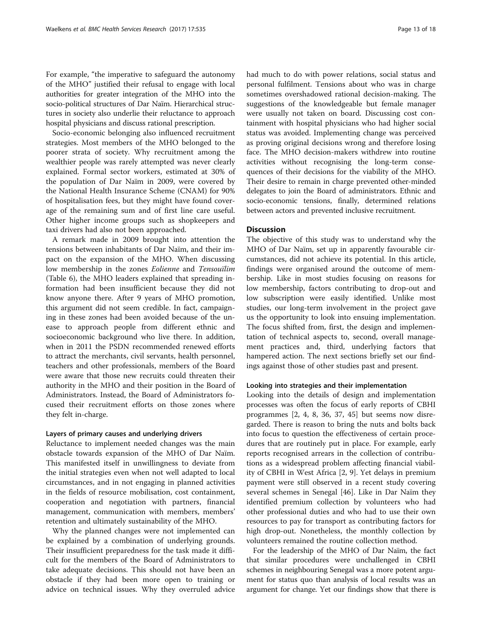For example, "the imperative to safeguard the autonomy of the MHO" justified their refusal to engage with local authorities for greater integration of the MHO into the socio-political structures of Dar Naïm. Hierarchical structures in society also underlie their reluctance to approach hospital physicians and discuss rational prescription.

Socio-economic belonging also influenced recruitment strategies. Most members of the MHO belonged to the poorer strata of society. Why recruitment among the wealthier people was rarely attempted was never clearly explained. Formal sector workers, estimated at 30% of the population of Dar Naïm in 2009, were covered by the National Health Insurance Scheme (CNAM) for 90% of hospitalisation fees, but they might have found coverage of the remaining sum and of first line care useful. Other higher income groups such as shopkeepers and taxi drivers had also not been approached.

A remark made in 2009 brought into attention the tensions between inhabitants of Dar Naïm, and their impact on the expansion of the MHO. When discussing low membership in the zones Eolienne and Tensouïlim (Table [6](#page-8-0)), the MHO leaders explained that spreading information had been insufficient because they did not know anyone there. After 9 years of MHO promotion, this argument did not seem credible. In fact, campaigning in these zones had been avoided because of the unease to approach people from different ethnic and socioeconomic background who live there. In addition, when in 2011 the PSDN recommended renewed efforts to attract the merchants, civil servants, health personnel, teachers and other professionals, members of the Board were aware that those new recruits could threaten their authority in the MHO and their position in the Board of Administrators. Instead, the Board of Administrators focused their recruitment efforts on those zones where they felt in-charge.

# Layers of primary causes and underlying drivers

Reluctance to implement needed changes was the main obstacle towards expansion of the MHO of Dar Naïm. This manifested itself in unwillingness to deviate from the initial strategies even when not well adapted to local circumstances, and in not engaging in planned activities in the fields of resource mobilisation, cost containment, cooperation and negotiation with partners, financial management, communication with members, members' retention and ultimately sustainability of the MHO.

Why the planned changes were not implemented can be explained by a combination of underlying grounds. Their insufficient preparedness for the task made it difficult for the members of the Board of Administrators to take adequate decisions. This should not have been an obstacle if they had been more open to training or advice on technical issues. Why they overruled advice had much to do with power relations, social status and personal fulfilment. Tensions about who was in charge sometimes overshadowed rational decision-making. The suggestions of the knowledgeable but female manager were usually not taken on board. Discussing cost containment with hospital physicians who had higher social status was avoided. Implementing change was perceived as proving original decisions wrong and therefore losing face. The MHO decision-makers withdrew into routine activities without recognising the long-term consequences of their decisions for the viability of the MHO. Their desire to remain in charge prevented other-minded delegates to join the Board of administrators. Ethnic and socio-economic tensions, finally, determined relations between actors and prevented inclusive recruitment.

## **Discussion**

The objective of this study was to understand why the MHO of Dar Naïm, set up in apparently favourable circumstances, did not achieve its potential. In this article, findings were organised around the outcome of membership. Like in most studies focusing on reasons for low membership, factors contributing to drop-out and low subscription were easily identified. Unlike most studies, our long-term involvement in the project gave us the opportunity to look into ensuing implementation. The focus shifted from, first, the design and implementation of technical aspects to, second, overall management practices and, third, underlying factors that hampered action. The next sections briefly set our findings against those of other studies past and present.

#### Looking into strategies and their implementation

Looking into the details of design and implementation processes was often the focus of early reports of CBHI programmes [\[2](#page-16-0), [4, 8, 36](#page-16-0), [37](#page-16-0), [45\]](#page-17-0) but seems now disregarded. There is reason to bring the nuts and bolts back into focus to question the effectiveness of certain procedures that are routinely put in place. For example, early reports recognised arrears in the collection of contributions as a widespread problem affecting financial viability of CBHI in West Africa [[2, 9\]](#page-16-0). Yet delays in premium payment were still observed in a recent study covering several schemes in Senegal [[46\]](#page-17-0). Like in Dar Naïm they identified premium collection by volunteers who had other professional duties and who had to use their own resources to pay for transport as contributing factors for high drop-out. Nonetheless, the monthly collection by volunteers remained the routine collection method.

For the leadership of the MHO of Dar Naïm, the fact that similar procedures were unchallenged in CBHI schemes in neighbouring Senegal was a more potent argument for status quo than analysis of local results was an argument for change. Yet our findings show that there is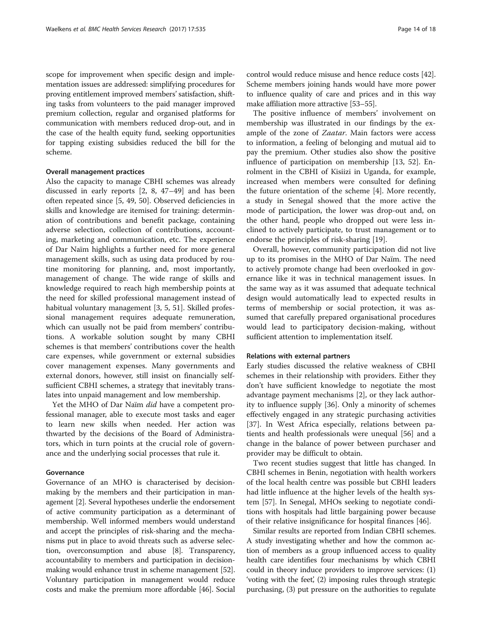scope for improvement when specific design and implementation issues are addressed: simplifying procedures for proving entitlement improved members' satisfaction, shifting tasks from volunteers to the paid manager improved premium collection, regular and organised platforms for communication with members reduced drop-out, and in the case of the health equity fund, seeking opportunities for tapping existing subsidies reduced the bill for the scheme.

#### Overall management practices

Also the capacity to manage CBHI schemes was already discussed in early reports [[2, 8,](#page-16-0) [47](#page-17-0)–[49](#page-17-0)] and has been often repeated since [\[5,](#page-16-0) [49](#page-17-0), [50](#page-17-0)]. Observed deficiencies in skills and knowledge are itemised for training: determination of contributions and benefit package, containing adverse selection, collection of contributions, accounting, marketing and communication, etc. The experience of Dar Naïm highlights a further need for more general management skills, such as using data produced by routine monitoring for planning, and, most importantly, management of change. The wide range of skills and knowledge required to reach high membership points at the need for skilled professional management instead of habitual voluntary management [\[3, 5](#page-16-0), [51](#page-17-0)]. Skilled professional management requires adequate remuneration, which can usually not be paid from members' contributions. A workable solution sought by many CBHI schemes is that members' contributions cover the health care expenses, while government or external subsidies cover management expenses. Many governments and external donors, however, still insist on financially selfsufficient CBHI schemes, a strategy that inevitably translates into unpaid management and low membership.

Yet the MHO of Dar Naïm *did* have a competent professional manager, able to execute most tasks and eager to learn new skills when needed. Her action was thwarted by the decisions of the Board of Administrators, which in turn points at the crucial role of governance and the underlying social processes that rule it.

### Governance

Governance of an MHO is characterised by decisionmaking by the members and their participation in management [[2](#page-16-0)]. Several hypotheses underlie the endorsement of active community participation as a determinant of membership. Well informed members would understand and accept the principles of risk-sharing and the mechanisms put in place to avoid threats such as adverse selection, overconsumption and abuse [\[8\]](#page-16-0). Transparency, accountability to members and participation in decisionmaking would enhance trust in scheme management [[52](#page-17-0)]. Voluntary participation in management would reduce costs and make the premium more affordable [\[46\]](#page-17-0). Social

control would reduce misuse and hence reduce costs [[42](#page-17-0)]. Scheme members joining hands would have more power to influence quality of care and prices and in this way make affiliation more attractive [\[53](#page-17-0)–[55](#page-17-0)].

The positive influence of members' involvement on membership was illustrated in our findings by the example of the zone of Zaatar. Main factors were access to information, a feeling of belonging and mutual aid to pay the premium. Other studies also show the positive influence of participation on membership [\[13](#page-16-0), [52](#page-17-0)]. Enrolment in the CBHI of Kisiizi in Uganda, for example, increased when members were consulted for defining the future orientation of the scheme [\[4\]](#page-16-0). More recently, a study in Senegal showed that the more active the mode of participation, the lower was drop-out and, on the other hand, people who dropped out were less inclined to actively participate, to trust management or to endorse the principles of risk-sharing [\[19](#page-16-0)].

Overall, however, community participation did not live up to its promises in the MHO of Dar Naïm. The need to actively promote change had been overlooked in governance like it was in technical management issues. In the same way as it was assumed that adequate technical design would automatically lead to expected results in terms of membership or social protection, it was assumed that carefully prepared organisational procedures would lead to participatory decision-making, without sufficient attention to implementation itself.

### Relations with external partners

Early studies discussed the relative weakness of CBHI schemes in their relationship with providers. Either they don't have sufficient knowledge to negotiate the most advantage payment mechanisms [\[2](#page-16-0)], or they lack authority to influence supply [\[36\]](#page-16-0). Only a minority of schemes effectively engaged in any strategic purchasing activities [[37\]](#page-16-0). In West Africa especially, relations between patients and health professionals were unequal [\[56](#page-17-0)] and a change in the balance of power between purchaser and provider may be difficult to obtain.

Two recent studies suggest that little has changed. In CBHI schemes in Benin, negotiation with health workers of the local health centre was possible but CBHI leaders had little influence at the higher levels of the health system [\[57\]](#page-17-0). In Senegal, MHOs seeking to negotiate conditions with hospitals had little bargaining power because of their relative insignificance for hospital finances [[46](#page-17-0)].

Similar results are reported from Indian CBHI schemes. A study investigating whether and how the common action of members as a group influenced access to quality health care identifies four mechanisms by which CBHI could in theory induce providers to improve services: (1) 'voting with the feet', (2) imposing rules through strategic purchasing, (3) put pressure on the authorities to regulate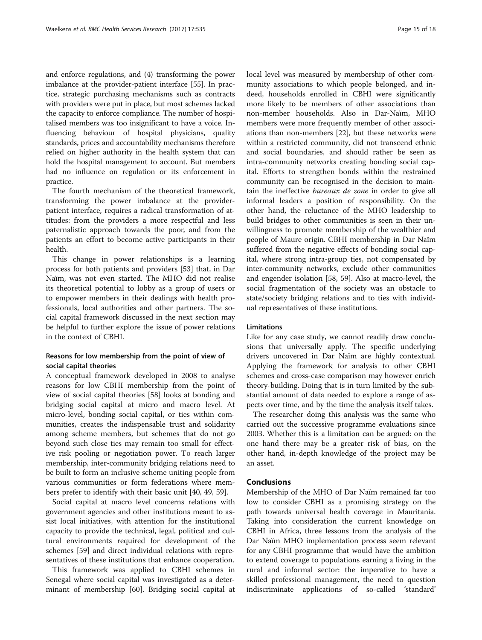and enforce regulations, and (4) transforming the power imbalance at the provider-patient interface [[55](#page-17-0)]. In practice, strategic purchasing mechanisms such as contracts with providers were put in place, but most schemes lacked the capacity to enforce compliance. The number of hospitalised members was too insignificant to have a voice. Influencing behaviour of hospital physicians, quality standards, prices and accountability mechanisms therefore relied on higher authority in the health system that can hold the hospital management to account. But members had no influence on regulation or its enforcement in practice.

The fourth mechanism of the theoretical framework, transforming the power imbalance at the providerpatient interface, requires a radical transformation of attitudes: from the providers a more respectful and less paternalistic approach towards the poor, and from the patients an effort to become active participants in their health.

This change in power relationships is a learning process for both patients and providers [\[53\]](#page-17-0) that, in Dar Naïm, was not even started. The MHO did not realise its theoretical potential to lobby as a group of users or to empower members in their dealings with health professionals, local authorities and other partners. The social capital framework discussed in the next section may be helpful to further explore the issue of power relations in the context of CBHI.

# Reasons for low membership from the point of view of social capital theories

A conceptual framework developed in 2008 to analyse reasons for low CBHI membership from the point of view of social capital theories [[58\]](#page-17-0) looks at bonding and bridging social capital at micro and macro level. At micro-level, bonding social capital, or ties within communities, creates the indispensable trust and solidarity among scheme members, but schemes that do not go beyond such close ties may remain too small for effective risk pooling or negotiation power. To reach larger membership, inter-community bridging relations need to be built to form an inclusive scheme uniting people from various communities or form federations where members prefer to identify with their basic unit [\[40](#page-16-0), [49, 59\]](#page-17-0).

Social capital at macro level concerns relations with government agencies and other institutions meant to assist local initiatives, with attention for the institutional capacity to provide the technical, legal, political and cultural environments required for development of the schemes [[59\]](#page-17-0) and direct individual relations with representatives of these institutions that enhance cooperation.

This framework was applied to CBHI schemes in Senegal where social capital was investigated as a determinant of membership [\[60](#page-17-0)]. Bridging social capital at local level was measured by membership of other community associations to which people belonged, and indeed, households enrolled in CBHI were significantly more likely to be members of other associations than non-member households. Also in Dar-Naïm, MHO members were more frequently member of other associations than non-members [\[22](#page-16-0)], but these networks were within a restricted community, did not transcend ethnic and social boundaries, and should rather be seen as intra-community networks creating bonding social capital. Efforts to strengthen bonds within the restrained community can be recognised in the decision to maintain the ineffective bureaux de zone in order to give all informal leaders a position of responsibility. On the other hand, the reluctance of the MHO leadership to build bridges to other communities is seen in their unwillingness to promote membership of the wealthier and people of Maure origin. CBHI membership in Dar Naïm suffered from the negative effects of bonding social capital, where strong intra-group ties, not compensated by inter-community networks, exclude other communities and engender isolation [[58](#page-17-0), [59\]](#page-17-0). Also at macro-level, the social fragmentation of the society was an obstacle to state/society bridging relations and to ties with individual representatives of these institutions.

# Limitations

Like for any case study, we cannot readily draw conclusions that universally apply. The specific underlying drivers uncovered in Dar Naïm are highly contextual. Applying the framework for analysis to other CBHI schemes and cross-case comparison may however enrich theory-building. Doing that is in turn limited by the substantial amount of data needed to explore a range of aspects over time, and by the time the analysis itself takes.

The researcher doing this analysis was the same who carried out the successive programme evaluations since 2003. Whether this is a limitation can be argued: on the one hand there may be a greater risk of bias, on the other hand, in-depth knowledge of the project may be an asset.

# **Conclusions**

Membership of the MHO of Dar Naïm remained far too low to consider CBHI as a promising strategy on the path towards universal health coverage in Mauritania. Taking into consideration the current knowledge on CBHI in Africa, three lessons from the analysis of the Dar Naïm MHO implementation process seem relevant for any CBHI programme that would have the ambition to extend coverage to populations earning a living in the rural and informal sector: the imperative to have a skilled professional management, the need to question indiscriminate applications of so-called 'standard'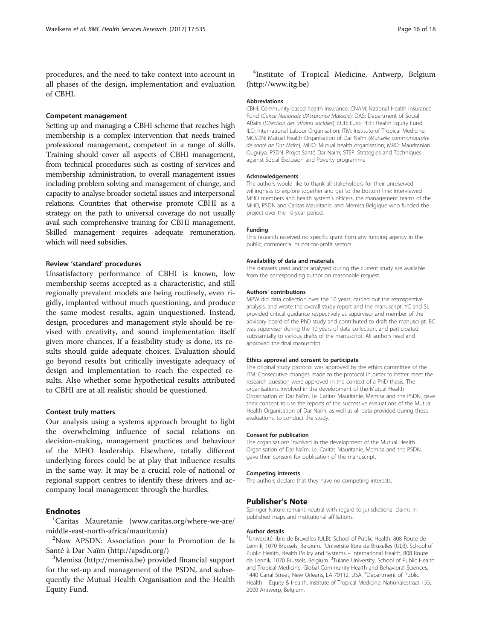procedures, and the need to take context into account in all phases of the design, implementation and evaluation of CBHI.

### Competent management

Setting up and managing a CBHI scheme that reaches high membership is a complex intervention that needs trained professional management, competent in a range of skills. Training should cover all aspects of CBHI management, from technical procedures such as costing of services and membership administration, to overall management issues including problem solving and management of change, and capacity to analyse broader societal issues and interpersonal relations. Countries that otherwise promote CBHI as a strategy on the path to universal coverage do not usually avail such comprehensive training for CBHI management. Skilled management requires adequate remuneration, which will need subsidies.

# Review 'standard' procedures

Unsatisfactory performance of CBHI is known, low membership seems accepted as a characteristic, and still regionally prevalent models are being routinely, even rigidly, implanted without much questioning, and produce the same modest results, again unquestioned. Instead, design, procedures and management style should be revised with creativity, and sound implementation itself given more chances. If a feasibility study is done, its results should guide adequate choices. Evaluation should go beyond results but critically investigate adequacy of design and implementation to reach the expected results. Also whether some hypothetical results attributed to CBHI are at all realistic should be questioned.

#### Context truly matters

Our analysis using a systems approach brought to light the overwhelming influence of social relations on decision-making, management practices and behaviour of the MHO leadership. Elsewhere, totally different underlying forces could be at play that influence results in the same way. It may be a crucial role of national or regional support centres to identify these drivers and accompany local management through the hurdles.

# **Endnotes**

Caritas Mauretanie [\(www.caritas.org/where-we-are/](http://www.caritas.org/where-we-are/middle-east-north-africa/mauritania) [middle-east-north-africa/mauritania\)](http://www.caritas.org/where-we-are/middle-east-north-africa/mauritania) <sup>2</sup>

<sup>2</sup>Now APSDN: Association pour la Promotion de la Santé à Dar Naïm [\(http://apsdn.org/\)](http://apsdn.org/) <sup>3</sup>

Memisa (<http://memisa.be>) provided financial support for the set-up and management of the PSDN, and subsequently the Mutual Health Organisation and the Health Equity Fund.

4 Institute of Tropical Medicine, Antwerp, Belgium ([http://www.itg.be\)](http://www.itg.be)

#### Abbreviations

CBHI: Community-based health insurance; CNAM: National Health Insurance Fund (Caisse Nationale d'Assurance Maladie); DAS: Department of Social Affairs (Direction des affaires sociales); EUR: Euro; HEF: Health Equity Fund; ILO: International Labour Organisation; ITM: Institute of Tropical Medicine; MCSDN: Mutual Health Organisation of Dar Naïm (Mutuelle communautaire de santé de Dar Naïm); MHO: Mutual health organisation; MRO: Mauritanian Ouguiya; PSDN: Projet Santé Dar Naïm; STEP: Strategies and Techniques against Social Exclusion and Poverty programme

#### Acknowledgements

The authors would like to thank all stakeholders for their unreserved willingness to explore together and get to the bottom line: interviewed MHO members and health system's officers, the management teams of the MHO, PSDN and Caritas Mauritanie, and Memisa Belgique who funded the project over the 10-year period.

#### Funding

This research received no specific grant from any funding agency in the public, commercial or not-for-profit sectors.

#### Availability of data and materials

The datasets used and/or analysed during the current study are available from the corresponding author on reasonable request.

#### Authors' contributions

MPW did data collection over the 10 years, carried out the retrospective analysis, and wrote the overall study report and the manuscript. YC and SL provided critical guidance respectively as supervisor and member of the advisory board of the PhD study and contributed to draft the manuscript. BC was supervisor during the 10 years of data collection, and participated substantially to various drafts of the manuscript. All authors read and approved the final manuscript.

#### Ethics approval and consent to participate

The original study protocol was approved by the ethics committee of the ITM. Consecutive changes made to the protocol in order to better meet the research question were approved in the context of a PhD thesis. The organisations involved in the development of the Mutual Health Organisation of Dar Naïm, i.e. Caritas Mauritanie, Memisa and the PSDN, gave their consent to use the reports of the successive evaluations of the Mutual Health Organisation of Dar Naïm, as well as all data provided during these evaluations, to conduct the study.

#### Consent for publication

The organisations involved in the development of the Mutual Health Organisation of Dar Naïm, i.e. Caritas Mauritanie, Memisa and the PSDN, gave their consent for publication of the manuscript.

#### Competing interests

The authors declare that they have no competing interests.

### Publisher's Note

Springer Nature remains neutral with regard to jurisdictional claims in published maps and institutional affiliations.

#### Author details

<sup>1</sup>Université libre de Bruxelles (ULB), School of Public Health, 808 Route de Lennik, 1070 Brussels, Belgium. <sup>2</sup>Université libre de Bruxelles (ULB), School of Public Health, Health Policy and Systems – International Health, 808 Route de Lennik, 1070 Brussels, Belgium. <sup>3</sup>Tulane University, School of Public Health and Tropical Medicine, Global Community Health and Behavioral Sciences, 1440 Canal Street, New Orleans, LA 70112, USA. <sup>4</sup>Department of Public Health – Equity & Health, Institute of Tropical Medicine, Nationalestraat 155, 2000 Antwerp, Belgium.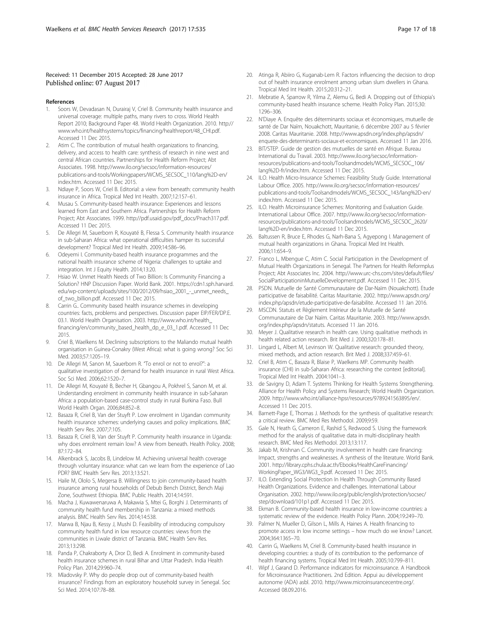### <span id="page-16-0"></span>Received: 11 December 2015 Accepted: 28 June 2017 Published online: 07 August 2017

#### References

- 1. Soors W, Devadasan N, Durairaj V, Criel B. Community health insurance and universal coverage: multiple paths, many rivers to cross. World Health Report 2010; Background Paper 48. World Health Organization. 2010. [http://](http://www.who.int/healthsystems/topics/financing/healthreport/48_CHI.pdf) [www.who.int/healthsystems/topics/financing/healthreport/48\\_CHI.pdf](http://www.who.int/healthsystems/topics/financing/healthreport/48_CHI.pdf). Accessed 11 Dec 2015.
- 2. Atim C. The contribution of mutual health organizations to financing, delivery, and access to health care: synthesis of research in nine west and central African countries. Partnerships for Health Reform Project; Abt Associates. 1998. [http://www.ilo.org/secsoc/information-resources/](http://www.ilo.org/secsoc/information-resources/publications-and-tools/Workingpapers/WCMS_SECSOC_110/lang%2D-en/index.htm) [publications-and-tools/Workingpapers/WCMS\\_SECSOC\\_110/lang%2D-en/](http://www.ilo.org/secsoc/information-resources/publications-and-tools/Workingpapers/WCMS_SECSOC_110/lang%2D-en/index.htm) [index.htm](http://www.ilo.org/secsoc/information-resources/publications-and-tools/Workingpapers/WCMS_SECSOC_110/lang%2D-en/index.htm). Accessed 11 Dec 2015.
- 3. Ndiaye P, Soors W, Criel B. Editorial: a view from beneath: community health insurance in Africa. Tropical Med Int Health. 2007;12:157–61.
- 4. Musau S. Community-based health insurance: Experiences and lessons learned from East and Southern Africa. Partnerships for Health Reform Project; Abt Associates. 1999. [http://pdf.usaid.gov/pdf\\_docs/Pnach317.pdf.](http://pdf.usaid.gov/pdf_docs/Pnach317.pdf) Accessed 11 Dec 2015.
- 5. De Allegri M, Sauerborn R, Kouyaté B, Flessa S. Community health insurance in sub-Saharan Africa: what operational difficulties hamper its successful development? Tropical Med Int Health. 2009;14:586–96.
- 6. Odeyemi I. Community-based health insurance programmes and the national health insurance scheme of Nigeria: challenges to uptake and integration. Int J Equity Health. 2014;13:20.
- 7. Hsiao W. Unmet Health Needs of Two Billion: Is Community Financing a Solution? HNP Discussion Paper. World Bank. 2001. [https://cdn1.sph.harvard.](https://cdn1.sph.harvard.edu/wp-content/uploads/sites/100/2012/09/hsiao_2001_-_unmet_needs_of_two_billion.pdf) [edu/wp-content/uploads/sites/100/2012/09/hsiao\\_2001\\_-\\_unmet\\_needs\\_](https://cdn1.sph.harvard.edu/wp-content/uploads/sites/100/2012/09/hsiao_2001_-_unmet_needs_of_two_billion.pdf) of two billion.pdf. Accessed 11 Dec 2015.
- Carrin G.. Community based health insurance schemes in developing countries: facts, problems and perspectives. Discussion paper EIP/FER/DP.E. 03.1. World Health Organisation. 2003. [http://www.who.int/health\\_](http://www.who.int/health_financing/en/community_based_health_dp_e_03_1.pdf) [financing/en/community\\_based\\_health\\_dp\\_e\\_03\\_1.pdf](http://www.who.int/health_financing/en/community_based_health_dp_e_03_1.pdf). Accessed 11 Dec 2015.
- 9. Criel B, Waelkens M. Declining subscriptions to the Maliando mutual health organisation in Guinea-Conakry (West Africa): what is going wrong? Soc Sci Med. 2003;57:1205–19.
- 10. De Allegri M, Sanon M, Sauerborn R. "To enrol or not to enrol?": a qualitative investigation of demand for health insurance in rural West Africa. Soc Sci Med. 2006;62:1520–7.
- 11. De Allegri M, Kouyaté B, Becher H, Gbangou A, Pokhrel S, Sanon M, et al. Understanding enrolment in community health insurance in sub-Saharan Africa: a population-based case-control study in rural Burkina Faso. Bull World Health Organ. 2006;84:852–8.
- 12. Basaza R, Criel B, Van der Stuyft P. Low enrolment in Ugandan community health insurance schemes: underlying causes and policy implications. BMC Health Serv Res. 2007;7:105.
- 13. Basaza R, Criel B, Van der Stuyft P. Community health insurance in Uganda: why does enrolment remain low? A view from beneath. Health Policy. 2008; 87:172–84.
- 14. Alkenbrack S, Jacobs B, Lindelow M. Achieving universal health coverage through voluntary insurance: what can we learn from the experience of Lao PDR? BMC Health Serv Res. 2013;13:521.
- 15. Haile M, Ololo S, Megersa B. Willingness to join community-based health insurance among rural households of Debub Bench District, Bench Maji Zone, Southwest Ethiopia. BMC Public Health. 2014;14:591.
- 16. Macha J, Kuwawenaruwa A, Makawia S, Mtei G, Borghi J. Determinants of community health fund membership in Tanzania: a mixed methods analysis. BMC Health Serv Res. 2014;14:538.
- 17. Marwa B, Njau B, Kessy J, Mushi D. Feasibility of introducing compulsory community health fund in low resource countries: views from the communities in Liwale district of Tanzania. BMC Health Serv Res. 2013;13:298.
- 18. Panda P, Chakraborty A, Dror D, Bedi A. Enrolment in community-based health insurance schemes in rural Bihar and Uttar Pradesh. India Health Policy Plan. 2014;29:960–74.
- 19. Mladovsky P. Why do people drop out of community-based health insurance? Findings from an exploratory household survey in Senegal. Soc Sci Med. 2014;107:78–88.
- 20. Atinga R, Abiiro G, Kuganab-Lem R. Factors influencing the decision to drop out of health insurance enrolment among urban slum dwellers in Ghana. Tropical Med Int Health. 2015;20:312–21.
- 21. Mebratie A, Sparrow R, Yilma Z, Alemu G, Bedi A. Dropping out of Ethiopia's community-based health insurance scheme. Health Policy Plan. 2015;30: 1296–306.
- 22. N'Diaye A. Enquête des déterminants sociaux et économiques, mutuelle de santé de Dar Naïm, Nouakchott, Mauritanie, 6 décembre 2007 au 5 février 2008. Caritas Mauritanie. 2008. [http://www.apsdn.org/index.php/apsdn/](http://www.apsdn.org/index.php/apsdn/enquete-des-determinants-sociaux-et-economiques) [enquete-des-determinants-sociaux-et-economiques.](http://www.apsdn.org/index.php/apsdn/enquete-des-determinants-sociaux-et-economiques) Accessed 11 Jan 2016.
- 23. BIT/STEP. Guide de gestion des mutuelles de santé en Afrique. Bureau International du Travail. 2003. [http://www.ilo.org/secsoc/information](http://www.ilo.org/secsoc/information-resources/publications-and-tools/Toolsandmodels/WCMS_SECSOC_106/lang%2D-fr/index.htm)[resources/publications-and-tools/Toolsandmodels/WCMS\\_SECSOC\\_106/](http://www.ilo.org/secsoc/information-resources/publications-and-tools/Toolsandmodels/WCMS_SECSOC_106/lang%2D-fr/index.htm) [lang%2D-fr/index.htm](http://www.ilo.org/secsoc/information-resources/publications-and-tools/Toolsandmodels/WCMS_SECSOC_106/lang%2D-fr/index.htm). Accessed 11 Dec 2015.
- 24. ILO. Health Micro-Insurance Schemes: Feasibility Study Guide. International Labour Office. 2005. [http://www.ilo.org/secsoc/information-resources/](http://www.ilo.org/secsoc/information-resources/publications-and-tools/Toolsandmodels/WCMS_SECSOC_143/lang%2D-en/index.htm) [publications-and-tools/Toolsandmodels/WCMS\\_SECSOC\\_143/lang%2D-en/](http://www.ilo.org/secsoc/information-resources/publications-and-tools/Toolsandmodels/WCMS_SECSOC_143/lang%2D-en/index.htm) [index.htm](http://www.ilo.org/secsoc/information-resources/publications-and-tools/Toolsandmodels/WCMS_SECSOC_143/lang%2D-en/index.htm). Accessed 11 Dec 2015.
- 25. ILO. Health Microinsurance Schemes: Monitoring and Evaluation Guide. International Labour Office. 2007. [http://www.ilo.org/secsoc/information](http://www.ilo.org/secsoc/information-resources/publications-and-tools/Toolsandmodels/WCMS_SECSOC_2620/lang%2D-en/index.htm)[resources/publications-and-tools/Toolsandmodels/WCMS\\_SECSOC\\_2620/](http://www.ilo.org/secsoc/information-resources/publications-and-tools/Toolsandmodels/WCMS_SECSOC_2620/lang%2D-en/index.htm) [lang%2D-en/index.htm](http://www.ilo.org/secsoc/information-resources/publications-and-tools/Toolsandmodels/WCMS_SECSOC_2620/lang%2D-en/index.htm). Accessed 11 Dec 2015.
- 26. Baltussen R, Bruce E, Rhodes G, Narh-Bana S, Agyepong I. Management of mutual health organizations in Ghana. Tropical Med Int Health. 2006;11:654–9.
- 27. Franco L, Mbengue C, Atim C. Social Participation in the Development of Mutual Health Organizations in Senegal. The Partners for Health Reformplus Project; Abt Associates Inc. 2004. [http://www.urc-chs.com/sites/default/files/](http://www.urc-chs.com/sites/default/files/SocialParticipationinMutuelleDevelopment.pdf) [SocialParticipationinMutuelleDevelopment.pdf](http://www.urc-chs.com/sites/default/files/SocialParticipationinMutuelleDevelopment.pdf). Accessed 11 Dec 2015.
- 28. PSDN. Mutuelle de Santé Communautaire de Dar-Naïm (Nouakchott). Etude participative de faisabilité. Caritas Mauritanie. 2002. [http://www.apsdn.org/](http://www.apsdn.org/index.php/apsdn/etude-participative-de-faisabilite) [index.php/apsdn/etude-participative-de-faisabilite.](http://www.apsdn.org/index.php/apsdn/etude-participative-de-faisabilite) Accessed 11 Jan 2016.
- 29. MSCDN. Statuts et Règlement Intérieur de la Mutuelle de Santé Communautaire de Dar Naïm. Caritas Mauritanie. 2003. [http://www.apsdn.](http://www.apsdn.org/index.php/apsdn/statuts) [org/index.php/apsdn/statuts.](http://www.apsdn.org/index.php/apsdn/statuts) Accessed 11 Jan 2016.
- 30. Meyer J. Qualitative research in health care. Using qualitative methods in health related action research. Brit Med J. 2000;320:178–81.
- 31. Lingard L, Albert M, Levinson W. Qualitative research: grounded theory, mixed methods, and action research. Brit Med J. 2008;337:459–61.
- 32. Criel B, Atim C, Basaza R, Blaise P, Waelkens MP. Community health insurance (CHI) in sub-Saharan Africa: researching the context [editorial]. Tropical Med Int Health. 2004:1041–3.
- 33. de Savigny D, Adam T. Systems Thinking for Health Systems Strengthening. Alliance for Health Policy and Systems Research; World Health Organization. 2009. [http://www.who.int/alliance-hpsr/resources/9789241563895/en/.](http://www.who.int/alliance-hpsr/resources/9789241563895/en/) Accessed 11 Dec 2015.
- 34. Barnett-Page E, Thomas J. Methods for the synthesis of qualitative research: a critical review. BMC Med Res Methodol. 2009;9:59.
- 35. Gale N, Heath G, Cameron E, Rashid S, Redwood S. Using the framework method for the analysis of qualitative data in multi-disciplinary health research. BMC Med Res Methodol. 2013;13:117.
- 36. Jakab M, Krishnan C. Community involvement in health care financing: Impact, strengths and weaknesses. A synthesis of the literature. World Bank. 2001. [http://library.cphs.chula.ac.th/Ebooks/HealthCareFinancing/](http://library.cphs.chula.ac.th/Ebooks/HealthCareFinancing/WorkingPaper_WG3/WG3_9.pdf) [WorkingPaper\\_WG3/WG3\\_9.pdf](http://library.cphs.chula.ac.th/Ebooks/HealthCareFinancing/WorkingPaper_WG3/WG3_9.pdf). Accessed 11 Dec 2015.
- 37. ILO. Extending Social Protection In Health Through Community Based Health Organizations. Evidence and challenges. International Labour Organisation. 2002. [http://www.ilo.org/public/english/protection/socsec/](http://www.ilo.org/public/english/protection/socsec/step/download/101p1.pdf) [step/download/101p1.pdf.](http://www.ilo.org/public/english/protection/socsec/step/download/101p1.pdf) Accessed 11 Dec 2015.
- 38. Ekman B. Community-based health insurance in low-income countries: a systematic review of the evidence. Health Policy Plann. 2004;19:249–70.
- 39. Palmer N, Mueller D, Gilson L, Mills A, Haines A. Health financing to promote access in low income settings – how much do we know? Lancet. 2004;364:1365–70.
- 40. Carrin G, Waelkens M, Criel B. Community-based health insurance in developing countries: a study of its contribution to the performance of health financing systems. Tropical Med Int Health. 2005;10:799–811.
- 41. Wipf J, Garand D. Performance indicators for microinsurance. A Handbook for Microinsurance Practitioners. 2nd Edition. Appui au développement autonome (ADA) asbl. 2010. [http://www.microinsurancecentre.org/.](http://www.microinsurancecentre.org/) Accessed 08.09.2016.